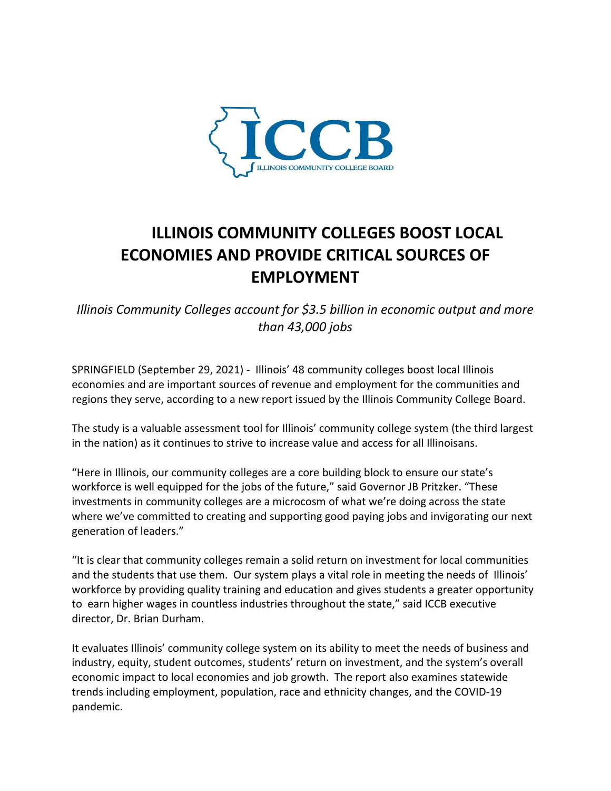

## **ILLINOIS COMMUNITY COLLEGES BOOST LOCAL ECONOMIES AND PROVIDE CRITICAL SOURCES OF EMPLOYMENT**

*Illinois Community Colleges account for \$3.5 billion in economic output and more than 43,000 jobs* 

SPRINGFIELD (September 29, 2021) - Illinois' 48 community colleges boost local Illinois economies and are important sources of revenue and employment for the communities and regions they serve, according to a new report issued by the Illinois Community College Board.

The study is a valuable assessment tool for Illinois' community college system (the third largest in the nation) as it continues to strive to increase value and access for all Illinoisans.

"Here in Illinois, our community colleges are a core building block to ensure our state's workforce is well equipped for the jobs of the future," said Governor JB Pritzker. "These investments in community colleges are a microcosm of what we're doing across the state where we've committed to creating and supporting good paying jobs and invigorating our next generation of leaders."

"It is clear that community colleges remain a solid return on investment for local communities and the students that use them. Our system plays a vital role in meeting the needs of Illinois' workforce by providing quality training and education and gives students a greater opportunity to earn higher wages in countless industries throughout the state," said ICCB executive director, Dr. Brian Durham.

It evaluates Illinois' community college system on its ability to meet the needs of business and industry, equity, student outcomes, students' return on investment, and the system's overall economic impact to local economies and job growth. The report also examines statewide trends including employment, population, race and ethnicity changes, and the COVID-19 pandemic.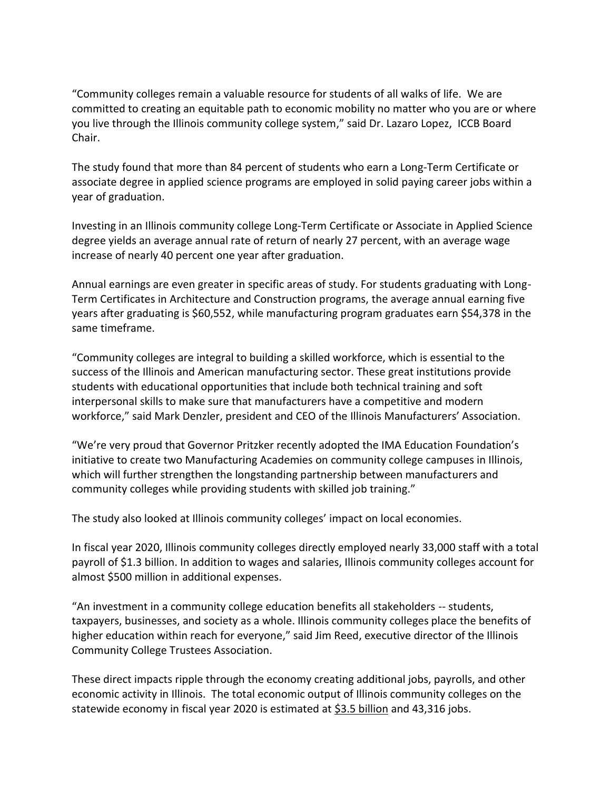"Community colleges remain a valuable resource for students of all walks of life. We are committed to creating an equitable path to economic mobility no matter who you are or where you live through the Illinois community college system," said Dr. Lazaro Lopez, ICCB Board Chair.

The study found that more than 84 percent of students who earn a Long-Term Certificate or associate degree in applied science programs are employed in solid paying career jobs within a year of graduation.

Investing in an Illinois community college Long-Term Certificate or Associate in Applied Science degree yields an average annual rate of return of nearly 27 percent, with an average wage increase of nearly 40 percent one year after graduation.

Annual earnings are even greater in specific areas of study. For students graduating with Long-Term Certificates in Architecture and Construction programs, the average annual earning five years after graduating is \$60,552, while manufacturing program graduates earn \$54,378 in the same timeframe.

"Community colleges are integral to building a skilled workforce, which is essential to the success of the Illinois and American manufacturing sector. These great institutions provide students with educational opportunities that include both technical training and soft interpersonal skills to make sure that manufacturers have a competitive and modern workforce," said Mark Denzler, president and CEO of the Illinois Manufacturers' Association.

"We're very proud that Governor Pritzker recently adopted the IMA Education Foundation's initiative to create two Manufacturing Academies on community college campuses in Illinois, which will further strengthen the longstanding partnership between manufacturers and community colleges while providing students with skilled job training."

The study also looked at Illinois community colleges' impact on local economies.

In fiscal year 2020, Illinois community colleges directly employed nearly 33,000 staff with a total payroll of \$1.3 billion. In addition to wages and salaries, Illinois community colleges account for almost \$500 million in additional expenses.

"An investment in a community college education benefits all stakeholders -- students, taxpayers, businesses, and society as a whole. Illinois community colleges place the benefits of higher education within reach for everyone," said Jim Reed, executive director of the Illinois Community College Trustees Association.

These direct impacts ripple through the economy creating additional jobs, payrolls, and other economic activity in Illinois. The total economic output of Illinois community colleges on the statewide economy in fiscal year 2020 is estimated at \$3.5 billion and 43,316 jobs.